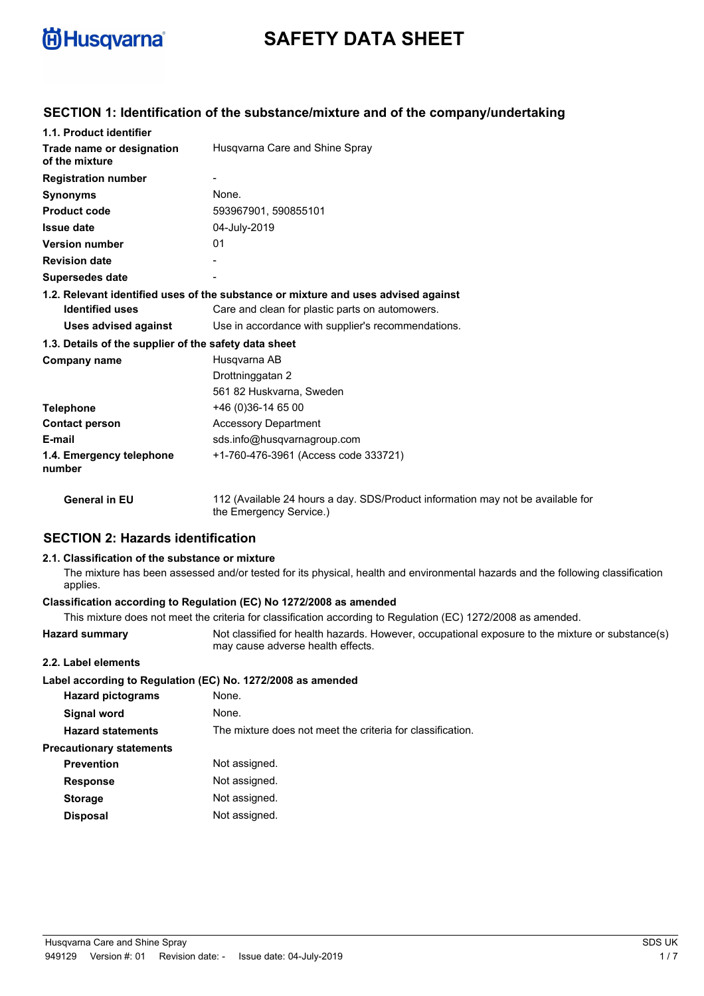

# **SAFETY DATA SHEET**

## **SECTION 1: Identification of the substance/mixture and of the company/undertaking**

| 1.1. Product identifier                               |                                                                                                            |
|-------------------------------------------------------|------------------------------------------------------------------------------------------------------------|
| Trade name or designation<br>of the mixture           | Husgvarna Care and Shine Spray                                                                             |
| <b>Registration number</b>                            |                                                                                                            |
| <b>Synonyms</b>                                       | None.                                                                                                      |
| <b>Product code</b>                                   | 593967901, 590855101                                                                                       |
| <b>Issue date</b>                                     | 04-July-2019                                                                                               |
| <b>Version number</b>                                 | 01                                                                                                         |
| <b>Revision date</b>                                  |                                                                                                            |
| <b>Supersedes date</b>                                |                                                                                                            |
|                                                       | 1.2. Relevant identified uses of the substance or mixture and uses advised against                         |
| <b>Identified uses</b>                                | Care and clean for plastic parts on automowers.                                                            |
| <b>Uses advised against</b>                           | Use in accordance with supplier's recommendations.                                                         |
| 1.3. Details of the supplier of the safety data sheet |                                                                                                            |
| Company name                                          | Husgvarna AB                                                                                               |
|                                                       | Drottninggatan 2                                                                                           |
|                                                       | 561 82 Huskvarna, Sweden                                                                                   |
| <b>Telephone</b>                                      | +46 (0) 36-14 65 00                                                                                        |
| <b>Contact person</b>                                 | <b>Accessory Department</b>                                                                                |
| E-mail                                                | sds.info@husqvarnagroup.com                                                                                |
| 1.4. Emergency telephone<br>number                    | +1-760-476-3961 (Access code 333721)                                                                       |
| <b>General in EU</b>                                  | 112 (Available 24 hours a day. SDS/Product information may not be available for<br>the Emergency Service.) |

## **SECTION 2: Hazards identification**

#### **2.1. Classification of the substance or mixture**

The mixture has been assessed and/or tested for its physical, health and environmental hazards and the following classification applies.

### **Classification according to Regulation (EC) No 1272/2008 as amended**

|                                 | This mixture does not meet the criteria for classification according to Regulation (EC) 1272/2008 as amended.                         |
|---------------------------------|---------------------------------------------------------------------------------------------------------------------------------------|
| <b>Hazard summary</b>           | Not classified for health hazards. However, occupational exposure to the mixture or substance(s)<br>may cause adverse health effects. |
| 2.2. Label elements             |                                                                                                                                       |
|                                 | Label according to Regulation (EC) No. 1272/2008 as amended                                                                           |
| <b>Hazard pictograms</b>        | None.                                                                                                                                 |
| Signal word                     | None.                                                                                                                                 |
| <b>Hazard statements</b>        | The mixture does not meet the criteria for classification.                                                                            |
| <b>Precautionary statements</b> |                                                                                                                                       |
| <b>Prevention</b>               | Not assigned.                                                                                                                         |
| <b>Response</b>                 | Not assigned.                                                                                                                         |
| <b>Storage</b>                  | Not assigned.                                                                                                                         |
| <b>Disposal</b>                 | Not assigned.                                                                                                                         |
|                                 |                                                                                                                                       |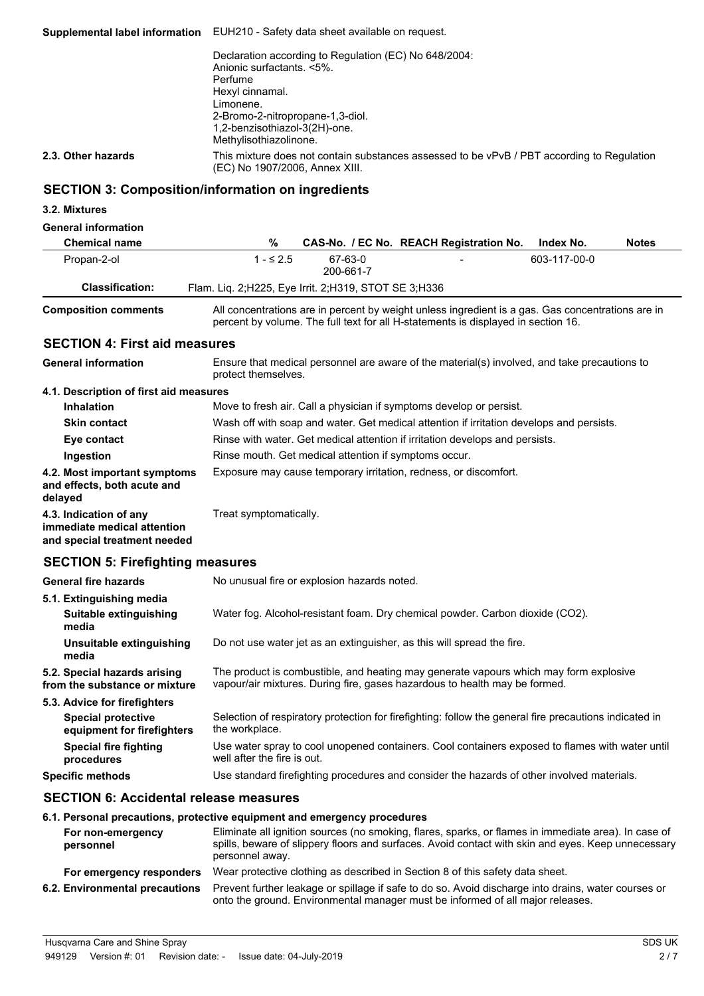**Supplemental label information** EUH210 - Safety data sheet available on request. Declaration according to Regulation (EC) No 648/2004: Anionic surfactants. <5%. Perfume Hexyl cinnamal. Limonene. 2-Bromo-2-nitropropane-1,3-diol. 1,2-benzisothiazol-3(2H)-one. Methylisothiazolinone. This mixture does not contain substances assessed to be vPvB / PBT according to Regulation (EC) No 1907/2006, Annex XIII. **2.3. Other hazards**

## **SECTION 3: Composition/information on ingredients**

#### **3.2. Mixtures**

#### **General information**

| <b>Chemical name</b>   | %                                                       |                      | CAS-No. / EC No. REACH Registration No. | Index No.    | <b>Notes</b> |
|------------------------|---------------------------------------------------------|----------------------|-----------------------------------------|--------------|--------------|
| Propan-2-ol            | 1 - ≤ 2.5                                               | 67-63-0<br>200-661-7 | $\overline{\phantom{0}}$                | 603-117-00-0 |              |
| <b>Classification:</b> | Flam. Liq. 2; H225, Eye Irrit. 2; H319, STOT SE 3; H336 |                      |                                         |              |              |
| .                      |                                                         |                      |                                         |              |              |

**Composition comments**

All concentrations are in percent by weight unless ingredient is a gas. Gas concentrations are in percent by volume. The full text for all H-statements is displayed in section 16.

### **SECTION 4: First aid measures**

Ensure that medical personnel are aware of the material(s) involved, and take precautions to protect themselves. **General information 4.1. Description of first aid measures Inhalation** Move to fresh air. Call a physician if symptoms develop or persist. **Skin contact** Wash off with soap and water. Get medical attention if irritation develops and persists. **Eye contact** Rinse with water. Get medical attention if irritation develops and persists. **Ingestion** Rinse mouth. Get medical attention if symptoms occur. **4.2. Most important symptoms** Exposure may cause temporary irritation, redness, or discomfort. **and effects, both acute and delayed 4.3. Indication of any** Treat symptomatically. **immediate medical attention and special treatment needed**

## **SECTION 5: Firefighting measures**

| <b>General fire hazards</b>                                   | No unusual fire or explosion hazards noted.                                                                                                                         |
|---------------------------------------------------------------|---------------------------------------------------------------------------------------------------------------------------------------------------------------------|
| 5.1. Extinguishing media                                      |                                                                                                                                                                     |
| Suitable extinguishing<br>media                               | Water fog. Alcohol-resistant foam. Dry chemical powder. Carbon dioxide (CO2).                                                                                       |
| Unsuitable extinguishing<br>media                             | Do not use water jet as an extinguisher, as this will spread the fire.                                                                                              |
| 5.2. Special hazards arising<br>from the substance or mixture | The product is combustible, and heating may generate vapours which may form explosive<br>vapour/air mixtures. During fire, gases hazardous to health may be formed. |
| 5.3. Advice for firefighters                                  |                                                                                                                                                                     |
| <b>Special protective</b><br>equipment for firefighters       | Selection of respiratory protection for firefighting: follow the general fire precautions indicated in<br>the workplace.                                            |
| Special fire fighting<br>procedures                           | Use water spray to cool unopened containers. Cool containers exposed to flames with water until<br>well after the fire is out.                                      |
| <b>Specific methods</b>                                       | Use standard firefighting procedures and consider the hazards of other involved materials.                                                                          |

#### **SECTION 6: Accidental release measures**

#### **6.1. Personal precautions, protective equipment and emergency procedures**

| For non-emergency<br>personnel | Eliminate all ignition sources (no smoking, flares, sparks, or flames in immediate area). In case of<br>spills, beware of slippery floors and surfaces. Avoid contact with skin and eyes. Keep unnecessary<br>personnel away. |
|--------------------------------|-------------------------------------------------------------------------------------------------------------------------------------------------------------------------------------------------------------------------------|
| For emergency responders       | Wear protective clothing as described in Section 8 of this safety data sheet.                                                                                                                                                 |
| 6.2. Environmental precautions | Prevent further leakage or spillage if safe to do so. Avoid discharge into drains, water courses or<br>onto the ground. Environmental manager must be informed of all major releases.                                         |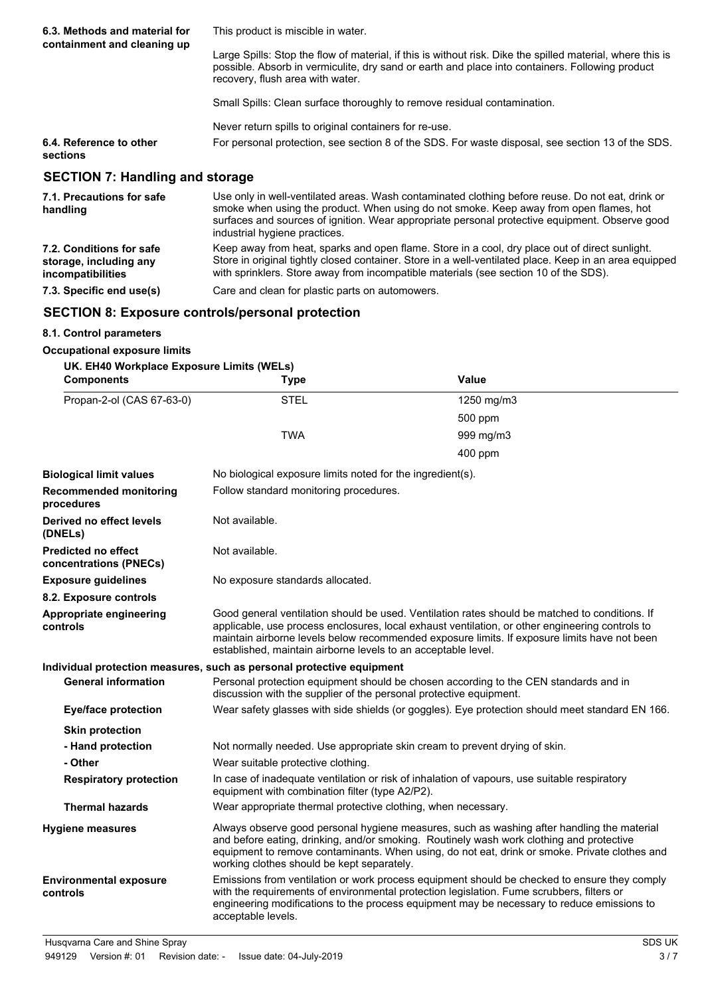| 6.3. Methods and material for<br>containment and cleaning up | This product is miscible in water.                                                                                                                                                                                                                |  |
|--------------------------------------------------------------|---------------------------------------------------------------------------------------------------------------------------------------------------------------------------------------------------------------------------------------------------|--|
|                                                              | Large Spills: Stop the flow of material, if this is without risk. Dike the spilled material, where this is<br>possible. Absorb in vermiculite, dry sand or earth and place into containers. Following product<br>recovery, flush area with water. |  |
|                                                              | Small Spills: Clean surface thoroughly to remove residual contamination.                                                                                                                                                                          |  |
|                                                              | Never return spills to original containers for re-use.                                                                                                                                                                                            |  |
| 6.4. Reference to other<br>sections                          | For personal protection, see section 8 of the SDS. For waste disposal, see section 13 of the SDS.                                                                                                                                                 |  |
| <b>SECTION 7: Handling and storage</b>                       |                                                                                                                                                                                                                                                   |  |
| 7.1. Precautions for safe                                    | Use only in well-ventilated areas. Wash contaminated clothing before reuse. Do not eat, drink or<br>to a la contra de la contra Mila de Marca de La Carta de Marca de la Carta de Marca de La Carta de La Carta de                                |  |

| 7.1. Precautions for safe<br>handling                                   | Use only in well-ventilated areas. Wash contaminated clothing before reuse. Do not eat, drink or<br>smoke when using the product. When using do not smoke. Keep away from open flames, hot<br>surfaces and sources of ignition. Wear appropriate personal protective equipment. Observe good<br>industrial hygiene practices. |
|-------------------------------------------------------------------------|-------------------------------------------------------------------------------------------------------------------------------------------------------------------------------------------------------------------------------------------------------------------------------------------------------------------------------|
| 7.2. Conditions for safe<br>storage, including any<br>incompatibilities | Keep away from heat, sparks and open flame. Store in a cool, dry place out of direct sunlight.<br>Store in original tightly closed container. Store in a well-ventilated place. Keep in an area equipped<br>with sprinklers. Store away from incompatible materials (see section 10 of the SDS).                              |
| 7.3. Specific end use(s)                                                | Care and clean for plastic parts on automowers.                                                                                                                                                                                                                                                                               |

### **SECTION 8: Exposure controls/personal protection**

#### **8.1. Control parameters**

#### **Occupational exposure limits UK. EH40 Workplace Exposure Limits (WELs)**

| <b>Components</b>                                    | <b>Type</b>                                                                                                                                                                                                                                                                                                                           | <b>Value</b>                                                                                                                                                                                                                                                                                      |  |
|------------------------------------------------------|---------------------------------------------------------------------------------------------------------------------------------------------------------------------------------------------------------------------------------------------------------------------------------------------------------------------------------------|---------------------------------------------------------------------------------------------------------------------------------------------------------------------------------------------------------------------------------------------------------------------------------------------------|--|
| Propan-2-ol (CAS 67-63-0)                            | <b>STEL</b>                                                                                                                                                                                                                                                                                                                           | 1250 mg/m3                                                                                                                                                                                                                                                                                        |  |
|                                                      |                                                                                                                                                                                                                                                                                                                                       | 500 ppm                                                                                                                                                                                                                                                                                           |  |
|                                                      | <b>TWA</b>                                                                                                                                                                                                                                                                                                                            | 999 mg/m3                                                                                                                                                                                                                                                                                         |  |
|                                                      |                                                                                                                                                                                                                                                                                                                                       | 400 ppm                                                                                                                                                                                                                                                                                           |  |
| <b>Biological limit values</b>                       | No biological exposure limits noted for the ingredient(s).                                                                                                                                                                                                                                                                            |                                                                                                                                                                                                                                                                                                   |  |
| <b>Recommended monitoring</b><br>procedures          | Follow standard monitoring procedures.                                                                                                                                                                                                                                                                                                |                                                                                                                                                                                                                                                                                                   |  |
| Derived no effect levels<br>(DNELs)                  | Not available.                                                                                                                                                                                                                                                                                                                        |                                                                                                                                                                                                                                                                                                   |  |
| <b>Predicted no effect</b><br>concentrations (PNECs) | Not available.                                                                                                                                                                                                                                                                                                                        |                                                                                                                                                                                                                                                                                                   |  |
| <b>Exposure guidelines</b>                           | No exposure standards allocated.                                                                                                                                                                                                                                                                                                      |                                                                                                                                                                                                                                                                                                   |  |
| 8.2. Exposure controls                               |                                                                                                                                                                                                                                                                                                                                       |                                                                                                                                                                                                                                                                                                   |  |
| Appropriate engineering<br>controls                  | established, maintain airborne levels to an acceptable level.                                                                                                                                                                                                                                                                         | Good general ventilation should be used. Ventilation rates should be matched to conditions. If<br>applicable, use process enclosures, local exhaust ventilation, or other engineering controls to<br>maintain airborne levels below recommended exposure limits. If exposure limits have not been |  |
|                                                      | Individual protection measures, such as personal protective equipment                                                                                                                                                                                                                                                                 |                                                                                                                                                                                                                                                                                                   |  |
| <b>General information</b>                           | Personal protection equipment should be chosen according to the CEN standards and in<br>discussion with the supplier of the personal protective equipment.                                                                                                                                                                            |                                                                                                                                                                                                                                                                                                   |  |
| <b>Eye/face protection</b>                           | Wear safety glasses with side shields (or goggles). Eye protection should meet standard EN 166.                                                                                                                                                                                                                                       |                                                                                                                                                                                                                                                                                                   |  |
| <b>Skin protection</b>                               |                                                                                                                                                                                                                                                                                                                                       |                                                                                                                                                                                                                                                                                                   |  |
| - Hand protection                                    | Not normally needed. Use appropriate skin cream to prevent drying of skin.                                                                                                                                                                                                                                                            |                                                                                                                                                                                                                                                                                                   |  |
| - Other                                              | Wear suitable protective clothing.                                                                                                                                                                                                                                                                                                    |                                                                                                                                                                                                                                                                                                   |  |
| <b>Respiratory protection</b>                        | In case of inadequate ventilation or risk of inhalation of vapours, use suitable respiratory<br>equipment with combination filter (type A2/P2).                                                                                                                                                                                       |                                                                                                                                                                                                                                                                                                   |  |
| <b>Thermal hazards</b>                               | Wear appropriate thermal protective clothing, when necessary.                                                                                                                                                                                                                                                                         |                                                                                                                                                                                                                                                                                                   |  |
| <b>Hygiene measures</b>                              | Always observe good personal hygiene measures, such as washing after handling the material<br>and before eating, drinking, and/or smoking. Routinely wash work clothing and protective<br>equipment to remove contaminants. When using, do not eat, drink or smoke. Private clothes and<br>working clothes should be kept separately. |                                                                                                                                                                                                                                                                                                   |  |
| <b>Environmental exposure</b><br>controls            | acceptable levels.                                                                                                                                                                                                                                                                                                                    | Emissions from ventilation or work process equipment should be checked to ensure they comply<br>with the requirements of environmental protection legislation. Fume scrubbers, filters or<br>engineering modifications to the process equipment may be necessary to reduce emissions to           |  |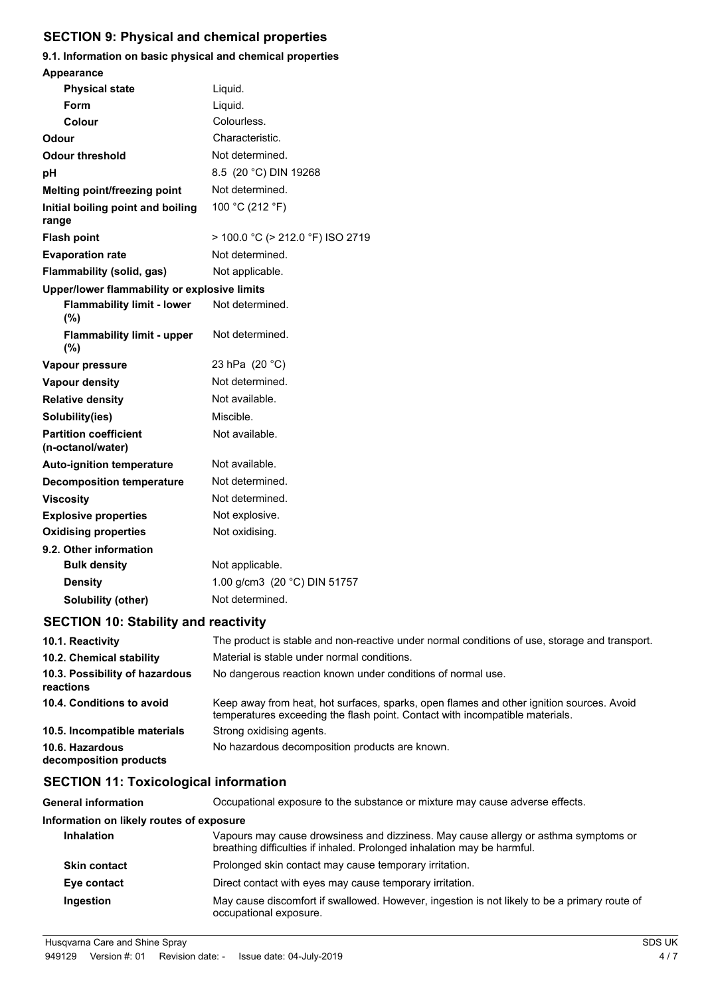## **SECTION 9: Physical and chemical properties**

# **9.1. Information on basic physical and chemical properties Appearance**

| <b>Physical state</b>                             | Liquid.                          |
|---------------------------------------------------|----------------------------------|
| Form                                              | Liquid.                          |
| Colour                                            | Colourless.                      |
| Odour                                             | Characteristic.                  |
| Odour threshold                                   | Not determined.                  |
| рH                                                | 8.5 (20 °C) DIN 19268            |
| <b>Melting point/freezing point</b>               | Not determined.                  |
| Initial boiling point and boiling<br>range        | 100 °C (212 °F)                  |
| <b>Flash point</b>                                | > 100.0 °C (> 212.0 °F) ISO 2719 |
| <b>Evaporation rate</b>                           | Not determined.                  |
| Flammability (solid, gas)                         | Not applicable.                  |
| Upper/lower flammability or explosive limits      |                                  |
| <b>Flammability limit - lower</b><br>(%)          | Not determined.                  |
| <b>Flammability limit - upper</b><br>(%)          | Not determined.                  |
| Vapour pressure                                   | 23 hPa (20 °C)                   |
| <b>Vapour density</b>                             | Not determined.                  |
| <b>Relative density</b>                           | Not available.                   |
| Solubility(ies)                                   | Miscible.                        |
| <b>Partition coefficient</b><br>(n-octanol/water) | Not available.                   |
| <b>Auto-ignition temperature</b>                  | Not available.                   |
| <b>Decomposition temperature</b>                  | Not determined.                  |
| <b>Viscosity</b>                                  | Not determined.                  |
| <b>Explosive properties</b>                       | Not explosive.                   |
| <b>Oxidising properties</b>                       | Not oxidising.                   |
| 9.2. Other information                            |                                  |
| <b>Bulk density</b>                               | Not applicable.                  |
| <b>Density</b>                                    | 1.00 g/cm3 (20 °C) DIN 51757     |
| <b>Solubility (other)</b>                         | Not determined.                  |

## **SECTION 10: Stability and reactivity**

| 10.1. Reactivity                            | The product is stable and non-reactive under normal conditions of use, storage and transport.                                                                            |
|---------------------------------------------|--------------------------------------------------------------------------------------------------------------------------------------------------------------------------|
| 10.2. Chemical stability                    | Material is stable under normal conditions.                                                                                                                              |
| 10.3. Possibility of hazardous<br>reactions | No dangerous reaction known under conditions of normal use.                                                                                                              |
| 10.4. Conditions to avoid                   | Keep away from heat, hot surfaces, sparks, open flames and other ignition sources. Avoid<br>temperatures exceeding the flash point. Contact with incompatible materials. |
| 10.5. Incompatible materials                | Strong oxidising agents.                                                                                                                                                 |
| 10.6. Hazardous<br>decomposition products   | No hazardous decomposition products are known.                                                                                                                           |

## **SECTION 11: Toxicological information**

| <b>General information</b>               | Occupational exposure to the substance or mixture may cause adverse effects.                                                                                   |
|------------------------------------------|----------------------------------------------------------------------------------------------------------------------------------------------------------------|
| Information on likely routes of exposure |                                                                                                                                                                |
| <b>Inhalation</b>                        | Vapours may cause drowsiness and dizziness. May cause allergy or asthma symptoms or<br>breathing difficulties if inhaled. Prolonged inhalation may be harmful. |
| <b>Skin contact</b>                      | Prolonged skin contact may cause temporary irritation.                                                                                                         |
| Eye contact                              | Direct contact with eyes may cause temporary irritation.                                                                                                       |
| Ingestion                                | May cause discomfort if swallowed. However, ingestion is not likely to be a primary route of<br>occupational exposure.                                         |
|                                          |                                                                                                                                                                |

Husqvarna Care and Shine Spray SDS UK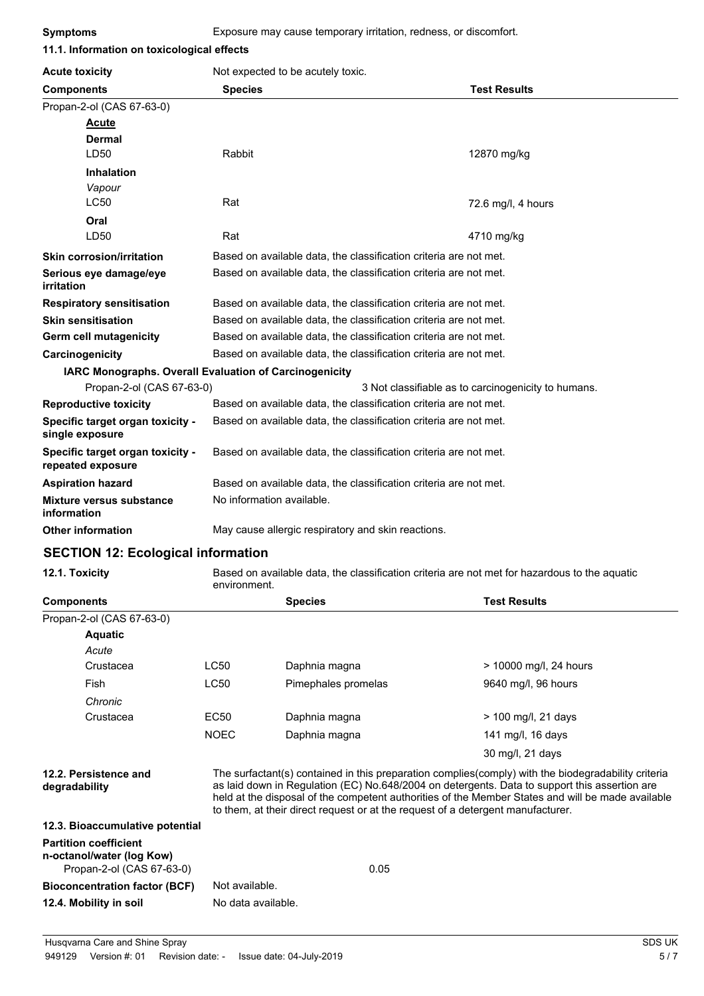| 11.1. Information on toxicological effects             |                                                                   |                                                     |  |
|--------------------------------------------------------|-------------------------------------------------------------------|-----------------------------------------------------|--|
| <b>Acute toxicity</b>                                  | Not expected to be acutely toxic.                                 |                                                     |  |
| <b>Components</b>                                      | <b>Species</b>                                                    | <b>Test Results</b>                                 |  |
| Propan-2-ol (CAS 67-63-0)                              |                                                                   |                                                     |  |
| <b>Acute</b>                                           |                                                                   |                                                     |  |
| <b>Dermal</b>                                          |                                                                   |                                                     |  |
| LD50                                                   | Rabbit                                                            | 12870 mg/kg                                         |  |
| <b>Inhalation</b>                                      |                                                                   |                                                     |  |
| Vapour                                                 |                                                                   |                                                     |  |
| <b>LC50</b>                                            | Rat                                                               | 72.6 mg/l, 4 hours                                  |  |
| Oral                                                   |                                                                   |                                                     |  |
| LD50                                                   | Rat                                                               | 4710 mg/kg                                          |  |
| <b>Skin corrosion/irritation</b>                       | Based on available data, the classification criteria are not met. |                                                     |  |
| Serious eye damage/eye<br>irritation                   | Based on available data, the classification criteria are not met. |                                                     |  |
| <b>Respiratory sensitisation</b>                       | Based on available data, the classification criteria are not met. |                                                     |  |
| <b>Skin sensitisation</b>                              | Based on available data, the classification criteria are not met. |                                                     |  |
| Germ cell mutagenicity                                 | Based on available data, the classification criteria are not met. |                                                     |  |
| Carcinogenicity                                        | Based on available data, the classification criteria are not met. |                                                     |  |
| IARC Monographs. Overall Evaluation of Carcinogenicity |                                                                   |                                                     |  |
| Propan-2-ol (CAS 67-63-0)                              |                                                                   | 3 Not classifiable as to carcinogenicity to humans. |  |
| <b>Reproductive toxicity</b>                           | Based on available data, the classification criteria are not met. |                                                     |  |
| Specific target organ toxicity -<br>single exposure    | Based on available data, the classification criteria are not met. |                                                     |  |
| Specific target organ toxicity -<br>repeated exposure  | Based on available data, the classification criteria are not met. |                                                     |  |
| <b>Aspiration hazard</b>                               | Based on available data, the classification criteria are not met. |                                                     |  |
| <b>Mixture versus substance</b><br>information         | No information available.                                         |                                                     |  |
| <b>Other information</b>                               | May cause allergic respiratory and skin reactions.                |                                                     |  |

### **SECTION 12: Ecological information**

**12.1. Toxicity** Based on available data, the classification criteria are not met for hazardous to the aquatic environment.

| <b>Components</b>                                                                      |                                                                                                                                                                                                                                                                                                                                                                                              | <b>Species</b>      | <b>Test Results</b>    |
|----------------------------------------------------------------------------------------|----------------------------------------------------------------------------------------------------------------------------------------------------------------------------------------------------------------------------------------------------------------------------------------------------------------------------------------------------------------------------------------------|---------------------|------------------------|
| Propan-2-ol (CAS 67-63-0)                                                              |                                                                                                                                                                                                                                                                                                                                                                                              |                     |                        |
| <b>Aquatic</b>                                                                         |                                                                                                                                                                                                                                                                                                                                                                                              |                     |                        |
| Acute                                                                                  |                                                                                                                                                                                                                                                                                                                                                                                              |                     |                        |
| Crustacea                                                                              | LC50                                                                                                                                                                                                                                                                                                                                                                                         | Daphnia magna       | > 10000 mg/l, 24 hours |
| Fish                                                                                   | <b>LC50</b>                                                                                                                                                                                                                                                                                                                                                                                  | Pimephales promelas | 9640 mg/l, 96 hours    |
| Chronic                                                                                |                                                                                                                                                                                                                                                                                                                                                                                              |                     |                        |
| Crustacea                                                                              | EC50                                                                                                                                                                                                                                                                                                                                                                                         | Daphnia magna       | $> 100$ mg/l, 21 days  |
|                                                                                        | <b>NOEC</b>                                                                                                                                                                                                                                                                                                                                                                                  | Daphnia magna       | 141 mg/l, 16 days      |
|                                                                                        |                                                                                                                                                                                                                                                                                                                                                                                              |                     | 30 mg/l, 21 days       |
| 12.2. Persistence and<br>degradability                                                 | The surfactant(s) contained in this preparation complies(comply) with the biodegradability criteria<br>as laid down in Regulation (EC) No.648/2004 on detergents. Data to support this assertion are<br>held at the disposal of the competent authorities of the Member States and will be made available<br>to them, at their direct request or at the request of a detergent manufacturer. |                     |                        |
| 12.3. Bioaccumulative potential                                                        |                                                                                                                                                                                                                                                                                                                                                                                              |                     |                        |
| <b>Partition coefficient</b><br>n-octanol/water (log Kow)<br>Propan-2-ol (CAS 67-63-0) |                                                                                                                                                                                                                                                                                                                                                                                              | 0.05                |                        |
| <b>Bioconcentration factor (BCF)</b>                                                   | Not available.                                                                                                                                                                                                                                                                                                                                                                               |                     |                        |
| 12.4. Mobility in soil                                                                 | No data available.                                                                                                                                                                                                                                                                                                                                                                           |                     |                        |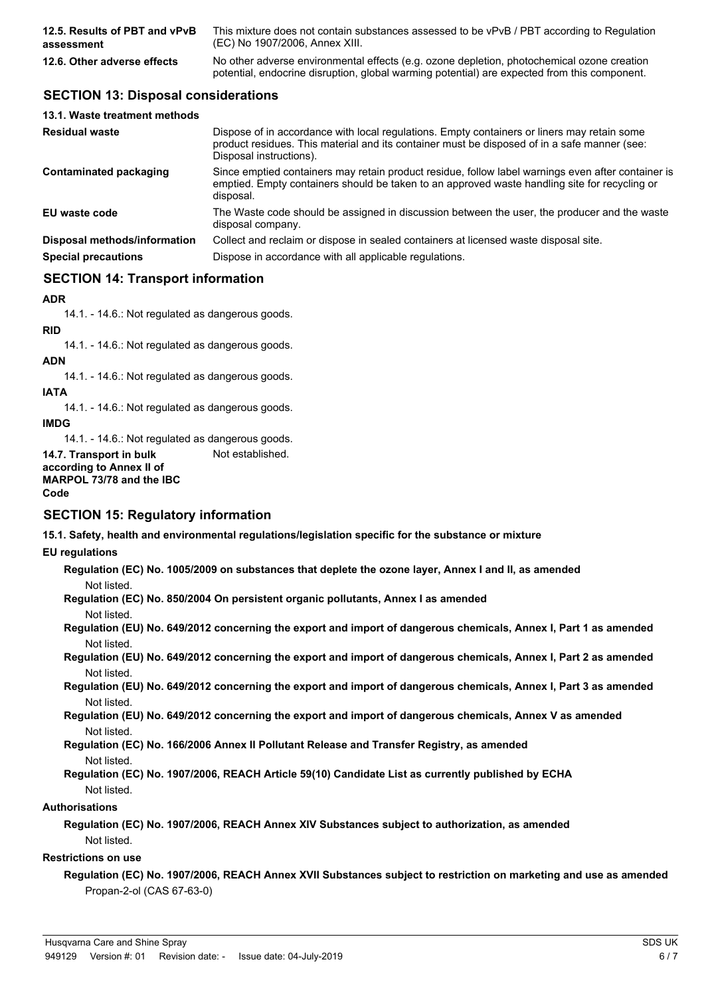| 12.5. Results of PBT and vPvB | This mixture does not contain substances assessed to be vPvB / PBT according to Regulation                                                                                                 |
|-------------------------------|--------------------------------------------------------------------------------------------------------------------------------------------------------------------------------------------|
| assessment                    | (EC) No 1907/2006, Annex XIII.                                                                                                                                                             |
| 12.6. Other adverse effects   | No other adverse environmental effects (e.g. ozone depletion, photochemical ozone creation<br>potential, endocrine disruption, global warming potential) are expected from this component. |

## **SECTION 13: Disposal considerations**

| Dispose of in accordance with local regulations. Empty containers or liners may retain some<br>product residues. This material and its container must be disposed of in a safe manner (see:<br>Disposal instructions). |
|------------------------------------------------------------------------------------------------------------------------------------------------------------------------------------------------------------------------|
| Since emptied containers may retain product residue, follow label warnings even after container is<br>emptied. Empty containers should be taken to an approved waste handling site for recycling or<br>disposal.       |
| The Waste code should be assigned in discussion between the user, the producer and the waste<br>disposal company.                                                                                                      |
| Collect and reclaim or dispose in sealed containers at licensed waste disposal site.                                                                                                                                   |
| Dispose in accordance with all applicable regulations.                                                                                                                                                                 |
|                                                                                                                                                                                                                        |

## **SECTION 14: Transport information**

#### **ADR**

14.1. - 14.6.: Not regulated as dangerous goods.

## **RID**

14.1. - 14.6.: Not regulated as dangerous goods.

# **ADN**

14.1. - 14.6.: Not regulated as dangerous goods.

#### **IATA**

14.1. - 14.6.: Not regulated as dangerous goods.

**IMDG**

14.1. - 14.6.: Not regulated as dangerous goods.

**14.7. Transport in bulk** Not established.

**according to Annex II of MARPOL 73/78 and the IBC Code**

### **SECTION 15: Regulatory information**

**15.1. Safety, health and environmental regulations/legislation specific for the substance or mixture**

#### **EU regulations**

**Regulation (EC) No. 1005/2009 on substances that deplete the ozone layer, Annex I and II, as amended** Not listed.

**Regulation (EC) No. 850/2004 On persistent organic pollutants, Annex I as amended** Not listed.

**Regulation (EU) No. 649/2012 concerning the export and import of dangerous chemicals, Annex I, Part 1 as amended** Not listed.

**Regulation (EU) No. 649/2012 concerning the export and import of dangerous chemicals, Annex I, Part 2 as amended** Not listed.

**Regulation (EU) No. 649/2012 concerning the export and import of dangerous chemicals, Annex I, Part 3 as amended** Not listed.

**Regulation (EU) No. 649/2012 concerning the export and import of dangerous chemicals, Annex V as amended** Not listed.

**Regulation (EC) No. 166/2006 Annex II Pollutant Release and Transfer Registry, as amended** Not listed.

**Regulation (EC) No. 1907/2006, REACH Article 59(10) Candidate List as currently published by ECHA** Not listed.

#### **Authorisations**

**Regulation (EC) No. 1907/2006, REACH Annex XIV Substances subject to authorization, as amended** Not listed.

#### **Restrictions on use**

**Regulation (EC) No. 1907/2006, REACH Annex XVII Substances subject to restriction on marketing and use as amended** Propan-2-ol (CAS 67-63-0)